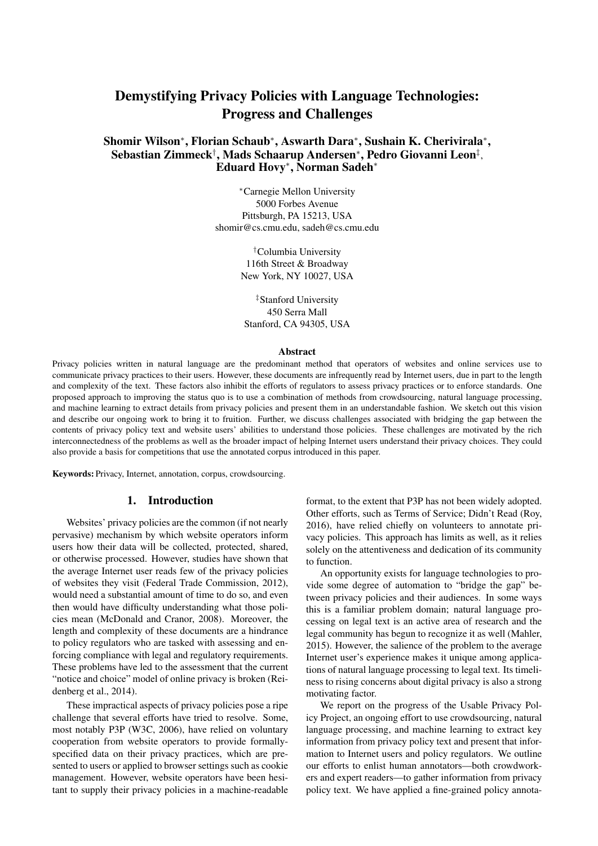# Demystifying Privacy Policies with Language Technologies: Progress and Challenges

# Shomir Wilson<sup>∗</sup> , Florian Schaub<sup>∗</sup> , Aswarth Dara<sup>∗</sup> , Sushain K. Cherivirala<sup>∗</sup> , Sebastian Zimmeck† , Mads Schaarup Andersen<sup>∗</sup> , Pedro Giovanni Leon‡ , Eduard Hovy<sup>∗</sup> , Norman Sadeh<sup>∗</sup>

<sup>∗</sup>Carnegie Mellon University 5000 Forbes Avenue Pittsburgh, PA 15213, USA shomir@cs.cmu.edu, sadeh@cs.cmu.edu

> †Columbia University 116th Street & Broadway New York, NY 10027, USA

‡Stanford University 450 Serra Mall Stanford, CA 94305, USA

#### **Abstract**

Privacy policies written in natural language are the predominant method that operators of websites and online services use to communicate privacy practices to their users. However, these documents are infrequently read by Internet users, due in part to the length and complexity of the text. These factors also inhibit the efforts of regulators to assess privacy practices or to enforce standards. One proposed approach to improving the status quo is to use a combination of methods from crowdsourcing, natural language processing, and machine learning to extract details from privacy policies and present them in an understandable fashion. We sketch out this vision and describe our ongoing work to bring it to fruition. Further, we discuss challenges associated with bridging the gap between the contents of privacy policy text and website users' abilities to understand those policies. These challenges are motivated by the rich interconnectedness of the problems as well as the broader impact of helping Internet users understand their privacy choices. They could also provide a basis for competitions that use the annotated corpus introduced in this paper.

Keywords: Privacy, Internet, annotation, corpus, crowdsourcing.

# 1. Introduction

Websites' privacy policies are the common (if not nearly pervasive) mechanism by which website operators inform users how their data will be collected, protected, shared, or otherwise processed. However, studies have shown that the average Internet user reads few of the privacy policies of websites they visit (Federal Trade Commission, 2012), would need a substantial amount of time to do so, and even then would have difficulty understanding what those policies mean (McDonald and Cranor, 2008). Moreover, the length and complexity of these documents are a hindrance to policy regulators who are tasked with assessing and enforcing compliance with legal and regulatory requirements. These problems have led to the assessment that the current "notice and choice" model of online privacy is broken (Reidenberg et al., 2014).

These impractical aspects of privacy policies pose a ripe challenge that several efforts have tried to resolve. Some, most notably P3P (W3C, 2006), have relied on voluntary cooperation from website operators to provide formallyspecified data on their privacy practices, which are presented to users or applied to browser settings such as cookie management. However, website operators have been hesitant to supply their privacy policies in a machine-readable format, to the extent that P3P has not been widely adopted. Other efforts, such as Terms of Service; Didn't Read (Roy, 2016), have relied chiefly on volunteers to annotate privacy policies. This approach has limits as well, as it relies solely on the attentiveness and dedication of its community to function.

An opportunity exists for language technologies to provide some degree of automation to "bridge the gap" between privacy policies and their audiences. In some ways this is a familiar problem domain; natural language processing on legal text is an active area of research and the legal community has begun to recognize it as well (Mahler, 2015). However, the salience of the problem to the average Internet user's experience makes it unique among applications of natural language processing to legal text. Its timeliness to rising concerns about digital privacy is also a strong motivating factor.

We report on the progress of the Usable Privacy Policy Project, an ongoing effort to use crowdsourcing, natural language processing, and machine learning to extract key information from privacy policy text and present that information to Internet users and policy regulators. We outline our efforts to enlist human annotators—both crowdworkers and expert readers—to gather information from privacy policy text. We have applied a fine-grained policy annota-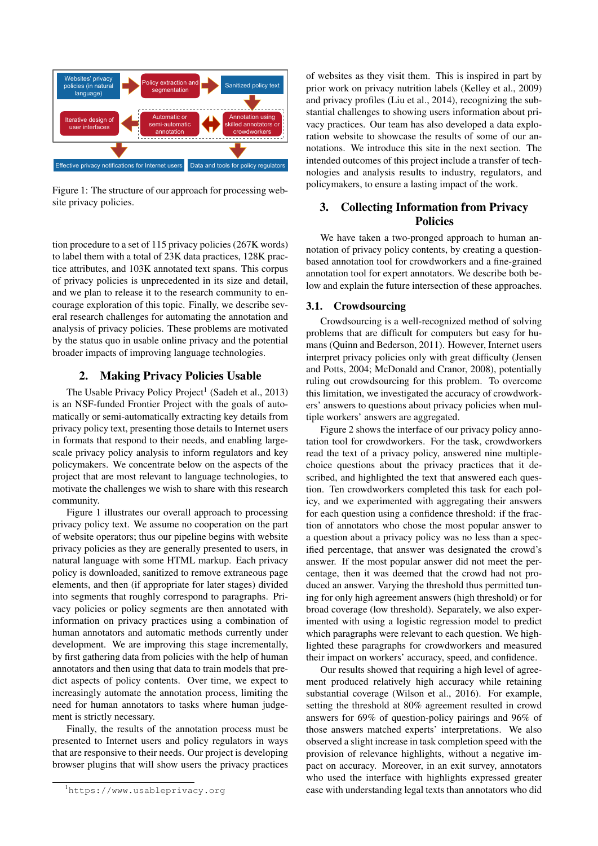

Figure 1: The structure of our approach for processing website privacy policies.

tion procedure to a set of 115 privacy policies (267K words) to label them with a total of 23K data practices, 128K practice attributes, and 103K annotated text spans. This corpus of privacy policies is unprecedented in its size and detail, and we plan to release it to the research community to encourage exploration of this topic. Finally, we describe several research challenges for automating the annotation and analysis of privacy policies. These problems are motivated by the status quo in usable online privacy and the potential broader impacts of improving language technologies.

# 2. Making Privacy Policies Usable

The Usable Privacy Policy Project<sup>1</sup> (Sadeh et al., 2013) is an NSF-funded Frontier Project with the goals of automatically or semi-automatically extracting key details from privacy policy text, presenting those details to Internet users in formats that respond to their needs, and enabling largescale privacy policy analysis to inform regulators and key policymakers. We concentrate below on the aspects of the project that are most relevant to language technologies, to motivate the challenges we wish to share with this research community.

Figure 1 illustrates our overall approach to processing privacy policy text. We assume no cooperation on the part of website operators; thus our pipeline begins with website privacy policies as they are generally presented to users, in natural language with some HTML markup. Each privacy policy is downloaded, sanitized to remove extraneous page elements, and then (if appropriate for later stages) divided into segments that roughly correspond to paragraphs. Privacy policies or policy segments are then annotated with information on privacy practices using a combination of human annotators and automatic methods currently under development. We are improving this stage incrementally, by first gathering data from policies with the help of human annotators and then using that data to train models that predict aspects of policy contents. Over time, we expect to increasingly automate the annotation process, limiting the need for human annotators to tasks where human judgement is strictly necessary.

Finally, the results of the annotation process must be presented to Internet users and policy regulators in ways that are responsive to their needs. Our project is developing browser plugins that will show users the privacy practices of websites as they visit them. This is inspired in part by prior work on privacy nutrition labels (Kelley et al., 2009) and privacy profiles (Liu et al., 2014), recognizing the substantial challenges to showing users information about privacy practices. Our team has also developed a data exploration website to showcase the results of some of our annotations. We introduce this site in the next section. The intended outcomes of this project include a transfer of technologies and analysis results to industry, regulators, and policymakers, to ensure a lasting impact of the work.

# 3. Collecting Information from Privacy Policies

We have taken a two-pronged approach to human annotation of privacy policy contents, by creating a questionbased annotation tool for crowdworkers and a fine-grained annotation tool for expert annotators. We describe both below and explain the future intersection of these approaches.

#### 3.1. Crowdsourcing

Crowdsourcing is a well-recognized method of solving problems that are difficult for computers but easy for humans (Quinn and Bederson, 2011). However, Internet users interpret privacy policies only with great difficulty (Jensen and Potts, 2004; McDonald and Cranor, 2008), potentially ruling out crowdsourcing for this problem. To overcome this limitation, we investigated the accuracy of crowdworkers' answers to questions about privacy policies when multiple workers' answers are aggregated.

Figure 2 shows the interface of our privacy policy annotation tool for crowdworkers. For the task, crowdworkers read the text of a privacy policy, answered nine multiplechoice questions about the privacy practices that it described, and highlighted the text that answered each question. Ten crowdworkers completed this task for each policy, and we experimented with aggregating their answers for each question using a confidence threshold: if the fraction of annotators who chose the most popular answer to a question about a privacy policy was no less than a specified percentage, that answer was designated the crowd's answer. If the most popular answer did not meet the percentage, then it was deemed that the crowd had not produced an answer. Varying the threshold thus permitted tuning for only high agreement answers (high threshold) or for broad coverage (low threshold). Separately, we also experimented with using a logistic regression model to predict which paragraphs were relevant to each question. We highlighted these paragraphs for crowdworkers and measured their impact on workers' accuracy, speed, and confidence.

Our results showed that requiring a high level of agreement produced relatively high accuracy while retaining substantial coverage (Wilson et al., 2016). For example, setting the threshold at 80% agreement resulted in crowd answers for 69% of question-policy pairings and 96% of those answers matched experts' interpretations. We also observed a slight increase in task completion speed with the provision of relevance highlights, without a negative impact on accuracy. Moreover, in an exit survey, annotators who used the interface with highlights expressed greater ease with understanding legal texts than annotators who did

<sup>1</sup>https://www.usableprivacy.org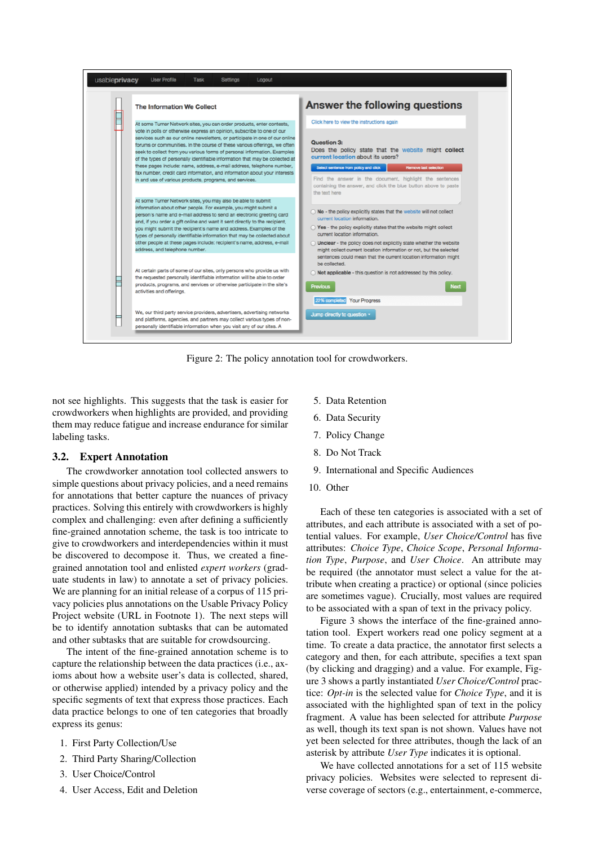

Figure 2: The policy annotation tool for crowdworkers.

not see highlights. This suggests that the task is easier for crowdworkers when highlights are provided, and providing them may reduce fatigue and increase endurance for similar labeling tasks.

#### 3.2. Expert Annotation

The crowdworker annotation tool collected answers to simple questions about privacy policies, and a need remains for annotations that better capture the nuances of privacy practices. Solving this entirely with crowdworkers is highly complex and challenging: even after defining a sufficiently fine-grained annotation scheme, the task is too intricate to give to crowdworkers and interdependencies within it must be discovered to decompose it. Thus, we created a finegrained annotation tool and enlisted *expert workers* (graduate students in law) to annotate a set of privacy policies. We are planning for an initial release of a corpus of 115 privacy policies plus annotations on the Usable Privacy Policy Project website (URL in Footnote 1). The next steps will be to identify annotation subtasks that can be automated and other subtasks that are suitable for crowdsourcing.

The intent of the fine-grained annotation scheme is to capture the relationship between the data practices (i.e., axioms about how a website user's data is collected, shared, or otherwise applied) intended by a privacy policy and the specific segments of text that express those practices. Each data practice belongs to one of ten categories that broadly express its genus:

- 1. First Party Collection/Use
- 2. Third Party Sharing/Collection
- 3. User Choice/Control
- 4. User Access, Edit and Deletion
- 5. Data Retention
- 6. Data Security
- 7. Policy Change
- 8. Do Not Track
- 9. International and Specific Audiences
- 10. Other

Each of these ten categories is associated with a set of attributes, and each attribute is associated with a set of potential values. For example, *User Choice/Control* has five attributes: *Choice Type*, *Choice Scope*, *Personal Information Type*, *Purpose*, and *User Choice*. An attribute may be required (the annotator must select a value for the attribute when creating a practice) or optional (since policies are sometimes vague). Crucially, most values are required to be associated with a span of text in the privacy policy.

Figure 3 shows the interface of the fine-grained annotation tool. Expert workers read one policy segment at a time. To create a data practice, the annotator first selects a category and then, for each attribute, specifies a text span (by clicking and dragging) and a value. For example, Figure 3 shows a partly instantiated *User Choice/Control* practice: *Opt-in* is the selected value for *Choice Type*, and it is associated with the highlighted span of text in the policy fragment. A value has been selected for attribute *Purpose* as well, though its text span is not shown. Values have not yet been selected for three attributes, though the lack of an asterisk by attribute *User Type* indicates it is optional.

We have collected annotations for a set of 115 website privacy policies. Websites were selected to represent diverse coverage of sectors (e.g., entertainment, e-commerce,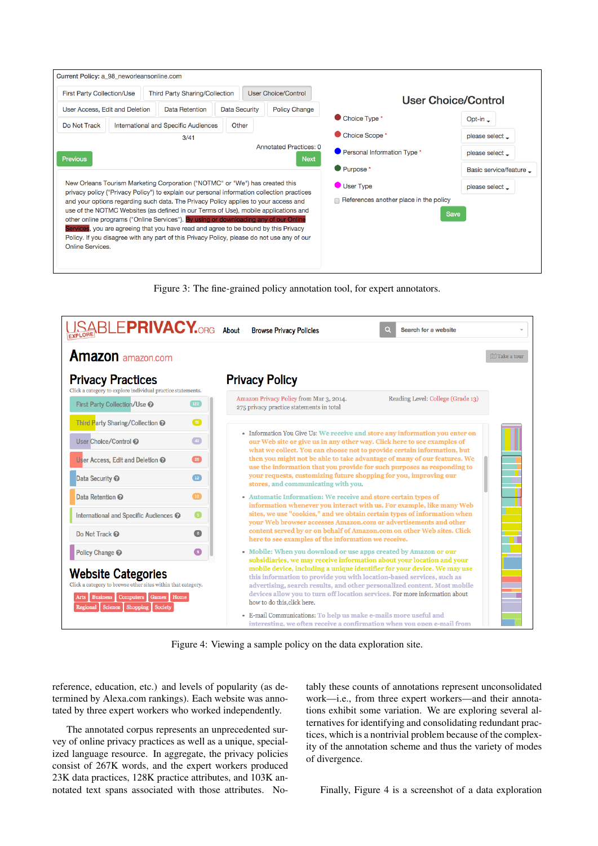| <b>First Party Collection/Use</b>                                                                                                                                                 | Third Party Sharing/Collection                                                       |               | User Choice/Control         | User Choice/Control                    |                                 |
|-----------------------------------------------------------------------------------------------------------------------------------------------------------------------------------|--------------------------------------------------------------------------------------|---------------|-----------------------------|----------------------------------------|---------------------------------|
| User Access, Edit and Deletion                                                                                                                                                    | Data Retention                                                                       | Data Security | <b>Policy Change</b>        |                                        |                                 |
| Do Not Track                                                                                                                                                                      | International and Specific Audiences                                                 | Other         |                             | Choice Type *                          | Opt-in $\overline{\phantom{a}}$ |
| 3/41<br><b>Annotated Practices: 0</b><br><b>Previous</b><br><b>Next</b>                                                                                                           |                                                                                      |               | Choice Scope *              | please select _                        |                                 |
|                                                                                                                                                                                   |                                                                                      |               | Personal Information Type * | please select _                        |                                 |
|                                                                                                                                                                                   |                                                                                      |               |                             | Purpose *                              | Basic service/feature _         |
| New Orleans Tourism Marketing Corporation ("NOTMC" or "We") has created this<br>privacy policy ("Privacy Policy") to explain our personal information collection practices        |                                                                                      |               | User Type                   | please select _                        |                                 |
|                                                                                                                                                                                   | and your options regarding such data. The Privacy Policy applies to your access and  |               |                             | References another place in the policy |                                 |
|                                                                                                                                                                                   | use of the NOTMC Websites (as defined in our Terms of Use), mobile applications and  |               |                             |                                        | <b>Save</b>                     |
|                                                                                                                                                                                   | other online programs ("Online Services"). By using or downloading any of our Online |               |                             |                                        |                                 |
|                                                                                                                                                                                   |                                                                                      |               |                             |                                        |                                 |
| Services, you are agreeing that you have read and agree to be bound by this Privacy<br>Policy. If you disagree with any part of this Privacy Policy, please do not use any of our |                                                                                      |               |                             |                                        |                                 |

Figure 3: The fine-grained policy annotation tool, for expert annotators.



Figure 4: Viewing a sample policy on the data exploration site.

reference, education, etc.) and levels of popularity (as determined by Alexa.com rankings). Each website was annotated by three expert workers who worked independently.

The annotated corpus represents an unprecedented survey of online privacy practices as well as a unique, specialized language resource. In aggregate, the privacy policies consist of 267K words, and the expert workers produced 23K data practices, 128K practice attributes, and 103K annotated text spans associated with those attributes. No-

tably these counts of annotations represent unconsolidated work—i.e., from three expert workers—and their annotations exhibit some variation. We are exploring several alternatives for identifying and consolidating redundant practices, which is a nontrivial problem because of the complexity of the annotation scheme and thus the variety of modes of divergence.

Finally, Figure 4 is a screenshot of a data exploration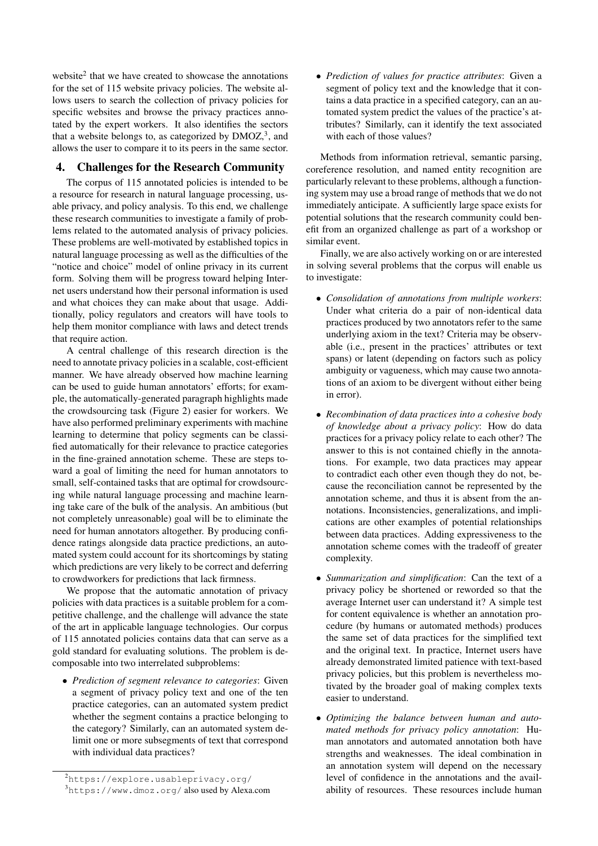website<sup>2</sup> that we have created to showcase the annotations for the set of 115 website privacy policies. The website allows users to search the collection of privacy policies for specific websites and browse the privacy practices annotated by the expert workers. It also identifies the sectors that a website belongs to, as categorized by  $DMOZ<sup>3</sup>$ , and allows the user to compare it to its peers in the same sector.

### 4. Challenges for the Research Community

The corpus of 115 annotated policies is intended to be a resource for research in natural language processing, usable privacy, and policy analysis. To this end, we challenge these research communities to investigate a family of problems related to the automated analysis of privacy policies. These problems are well-motivated by established topics in natural language processing as well as the difficulties of the "notice and choice" model of online privacy in its current form. Solving them will be progress toward helping Internet users understand how their personal information is used and what choices they can make about that usage. Additionally, policy regulators and creators will have tools to help them monitor compliance with laws and detect trends that require action.

A central challenge of this research direction is the need to annotate privacy policies in a scalable, cost-efficient manner. We have already observed how machine learning can be used to guide human annotators' efforts; for example, the automatically-generated paragraph highlights made the crowdsourcing task (Figure 2) easier for workers. We have also performed preliminary experiments with machine learning to determine that policy segments can be classified automatically for their relevance to practice categories in the fine-grained annotation scheme. These are steps toward a goal of limiting the need for human annotators to small, self-contained tasks that are optimal for crowdsourcing while natural language processing and machine learning take care of the bulk of the analysis. An ambitious (but not completely unreasonable) goal will be to eliminate the need for human annotators altogether. By producing confidence ratings alongside data practice predictions, an automated system could account for its shortcomings by stating which predictions are very likely to be correct and deferring to crowdworkers for predictions that lack firmness.

We propose that the automatic annotation of privacy policies with data practices is a suitable problem for a competitive challenge, and the challenge will advance the state of the art in applicable language technologies. Our corpus of 115 annotated policies contains data that can serve as a gold standard for evaluating solutions. The problem is decomposable into two interrelated subproblems:

• *Prediction of segment relevance to categories*: Given a segment of privacy policy text and one of the ten practice categories, can an automated system predict whether the segment contains a practice belonging to the category? Similarly, can an automated system delimit one or more subsegments of text that correspond with individual data practices?

• *Prediction of values for practice attributes*: Given a segment of policy text and the knowledge that it contains a data practice in a specified category, can an automated system predict the values of the practice's attributes? Similarly, can it identify the text associated with each of those values?

Methods from information retrieval, semantic parsing, coreference resolution, and named entity recognition are particularly relevant to these problems, although a functioning system may use a broad range of methods that we do not immediately anticipate. A sufficiently large space exists for potential solutions that the research community could benefit from an organized challenge as part of a workshop or similar event.

Finally, we are also actively working on or are interested in solving several problems that the corpus will enable us to investigate:

- *Consolidation of annotations from multiple workers*: Under what criteria do a pair of non-identical data practices produced by two annotators refer to the same underlying axiom in the text? Criteria may be observable (i.e., present in the practices' attributes or text spans) or latent (depending on factors such as policy ambiguity or vagueness, which may cause two annotations of an axiom to be divergent without either being in error).
- *Recombination of data practices into a cohesive body of knowledge about a privacy policy*: How do data practices for a privacy policy relate to each other? The answer to this is not contained chiefly in the annotations. For example, two data practices may appear to contradict each other even though they do not, because the reconciliation cannot be represented by the annotation scheme, and thus it is absent from the annotations. Inconsistencies, generalizations, and implications are other examples of potential relationships between data practices. Adding expressiveness to the annotation scheme comes with the tradeoff of greater complexity.
- *Summarization and simplification*: Can the text of a privacy policy be shortened or reworded so that the average Internet user can understand it? A simple test for content equivalence is whether an annotation procedure (by humans or automated methods) produces the same set of data practices for the simplified text and the original text. In practice, Internet users have already demonstrated limited patience with text-based privacy policies, but this problem is nevertheless motivated by the broader goal of making complex texts easier to understand.
- *Optimizing the balance between human and automated methods for privacy policy annotation*: Human annotators and automated annotation both have strengths and weaknesses. The ideal combination in an annotation system will depend on the necessary level of confidence in the annotations and the availability of resources. These resources include human

<sup>&</sup>lt;sup>2</sup>https://explore.usableprivacy.org/

<sup>3</sup>https://www.dmoz.org/ also used by Alexa.com